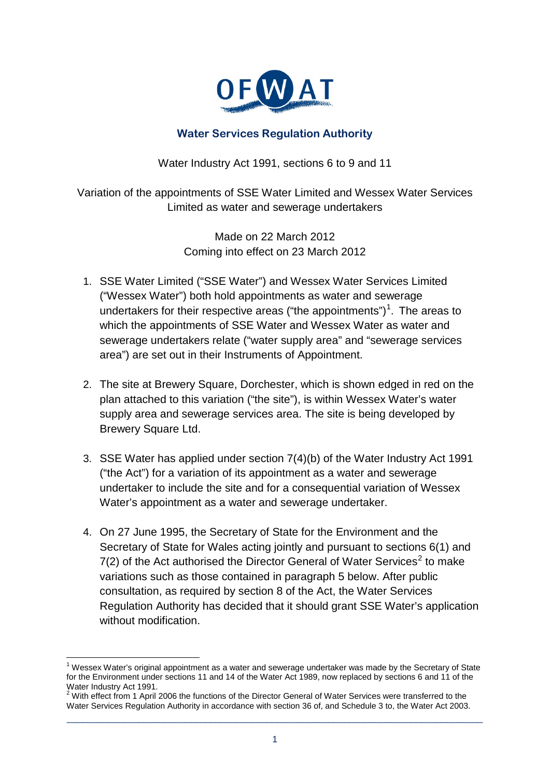

## **Water Services Regulation Authority**

Water Industry Act 1991, sections 6 to 9 and 11

Variation of the appointments of SSE Water Limited and Wessex Water Services Limited as water and sewerage undertakers

> Made on 22 March 2012 Coming into effect on 23 March 2012

- 1. SSE Water Limited ("SSE Water") and Wessex Water Services Limited ("Wessex Water") both hold appointments as water and sewerage undertakers for their respective areas ("the appointments")<sup>[1](#page-1-0)</sup>. The areas to which the appointments of SSE Water and Wessex Water as water and sewerage undertakers relate ("water supply area" and "sewerage services area") are set out in their Instruments of Appointment.
- 2. The site at Brewery Square, Dorchester, which is shown edged in red on the plan attached to this variation ("the site"), is within Wessex Water's water supply area and sewerage services area. The site is being developed by Brewery Square Ltd.
- 3. SSE Water has applied under section 7(4)(b) of the Water Industry Act 1991 ("the Act") for a variation of its appointment as a water and sewerage undertaker to include the site and for a consequential variation of Wessex Water's appointment as a water and sewerage undertaker.
- 4. On 27 June 1995, the Secretary of State for the Environment and the Secretary of State for Wales acting jointly and pursuant to sections 6(1) and  $7(2)$  $7(2)$  $7(2)$  of the Act authorised the Director General of Water Services<sup>2</sup> to make variations such as those contained in paragraph 5 below. After public consultation, as required by section 8 of the Act, the Water Services Regulation Authority has decided that it should grant SSE Water's application without modification.

\_\_\_\_\_\_\_\_\_\_\_\_\_\_\_\_\_\_\_\_\_\_\_\_\_\_\_\_\_\_\_\_\_\_\_\_\_\_\_\_\_\_\_\_\_\_\_\_\_\_\_\_\_\_\_\_\_\_\_\_\_\_\_\_\_\_\_\_\_\_\_\_\_\_\_\_\_\_\_\_\_

 $1$  Wessex Water's original appointment as a water and sewerage undertaker was made by the Secretary of State for the Environment under sections 11 and 14 of the Water Act 1989, now replaced by sections 6 and 11 of the Water Industry Act 1991.

<span id="page-0-0"></span> $2$  With effect from 1 April 2006 the functions of the Director General of Water Services were transferred to the Water Services Regulation Authority in accordance with section 36 of, and Schedule 3 to, the Water Act 2003.